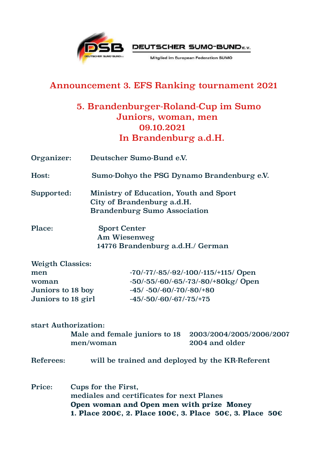



Mitglied im European Federation SUMO

## Announcement 3. EFS Ranking tournament 2021

## 5. Brandenburger-Roland-Cup im Sumo Juniors, woman, men 09.10.2021 In Brandenburg a.d.H.

| Organizer:              | Deutscher Sumo-Bund e.V.                                                                                    |  |  |
|-------------------------|-------------------------------------------------------------------------------------------------------------|--|--|
| Host:                   | Sumo-Dohyo the PSG Dynamo Brandenburg e.V.                                                                  |  |  |
| Supported:              | Ministry of Education, Youth and Sport<br>City of Brandenburg a.d.H.<br><b>Brandenburg Sumo Association</b> |  |  |
| Place:                  | <b>Sport Center</b><br>Am Wiesenweg<br>14776 Brandenburg a.d.H./ German                                     |  |  |
| <b>Weigth Classics:</b> |                                                                                                             |  |  |
| men                     | $-70/-77/-85/-92/-100/-115/+115/$ Open                                                                      |  |  |
| woman                   | $-50/-55/-60/-65/-73/-80/+80kg/Open$                                                                        |  |  |
| Juniors to 18 boy       | $-45/ -50/ -60/ -70/ -80/ +80$                                                                              |  |  |
| Juniors to 18 girl      | $-45/-50/-60/-67/-75/+75$                                                                                   |  |  |
| start Authorization:    | Male and female juniors to 18<br>2003/2004/2005/2006/2007<br>men/woman<br>2004 and older                    |  |  |
|                         |                                                                                                             |  |  |
| Referees:               | will be trained and deployed by the KR-Referent                                                             |  |  |
| Price:                  | Cups for the First,<br>mediales and certificates for next Planes                                            |  |  |

 **Open woman and Open men with prize Money 1. Place 200€, 2. Place 100€, 3. Place 50€, 3. Place 50€**